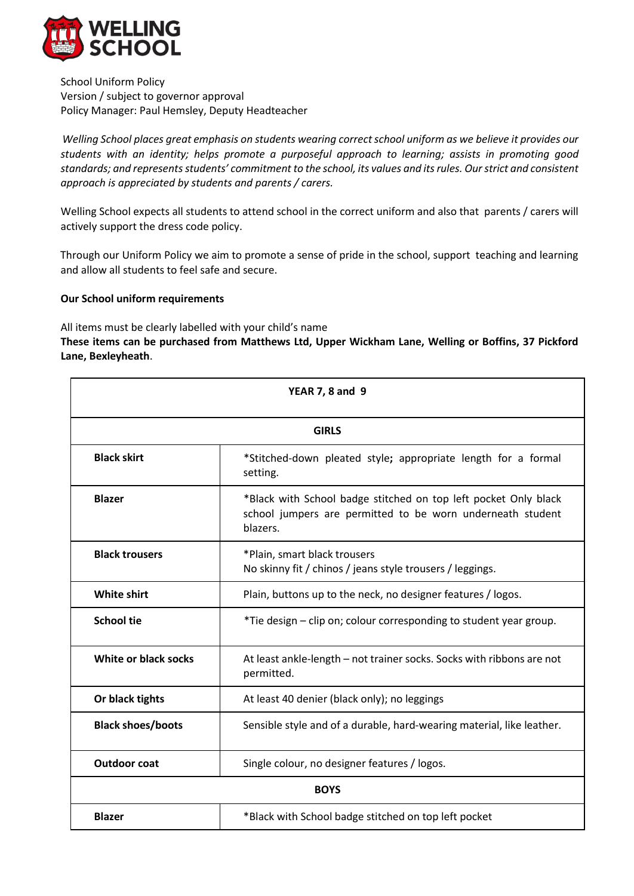

School Uniform Policy Version / subject to governor approval Policy Manager: Paul Hemsley, Deputy Headteacher

*Welling School places great emphasis on students wearing correct school uniform as we believe it provides our students with an identity; helps promote a purposeful approach to learning; assists in promoting good standards; and represents students' commitment to the school, its values and its rules. Our strict and consistent approach is appreciated by students and parents / carers.*

Welling School expects all students to attend school in the correct uniform and also that parents / carers will actively support the dress code policy.

Through our Uniform Policy we aim to promote a sense of pride in the school, support teaching and learning and allow all students to feel safe and secure.

## **Our School uniform requirements**

All items must be clearly labelled with your child's name

**These items can be purchased from Matthews Ltd, Upper Wickham Lane, Welling or Boffins, 37 Pickford Lane, Bexleyheath**.

| <b>YEAR 7, 8 and 9</b><br><b>GIRLS</b> |                                                                                                                                           |  |
|----------------------------------------|-------------------------------------------------------------------------------------------------------------------------------------------|--|
|                                        |                                                                                                                                           |  |
| <b>Blazer</b>                          | *Black with School badge stitched on top left pocket Only black<br>school jumpers are permitted to be worn underneath student<br>blazers. |  |
| <b>Black trousers</b>                  | *Plain, smart black trousers<br>No skinny fit / chinos / jeans style trousers / leggings.                                                 |  |
| <b>White shirt</b>                     | Plain, buttons up to the neck, no designer features / logos.                                                                              |  |
| <b>School tie</b>                      | *Tie design – clip on; colour corresponding to student year group.                                                                        |  |
| White or black socks                   | At least ankle-length - not trainer socks. Socks with ribbons are not<br>permitted.                                                       |  |
| Or black tights                        | At least 40 denier (black only); no leggings                                                                                              |  |
| <b>Black shoes/boots</b>               | Sensible style and of a durable, hard-wearing material, like leather.                                                                     |  |
| <b>Outdoor coat</b>                    | Single colour, no designer features / logos.                                                                                              |  |
| <b>BOYS</b>                            |                                                                                                                                           |  |
| <b>Blazer</b>                          | *Black with School badge stitched on top left pocket                                                                                      |  |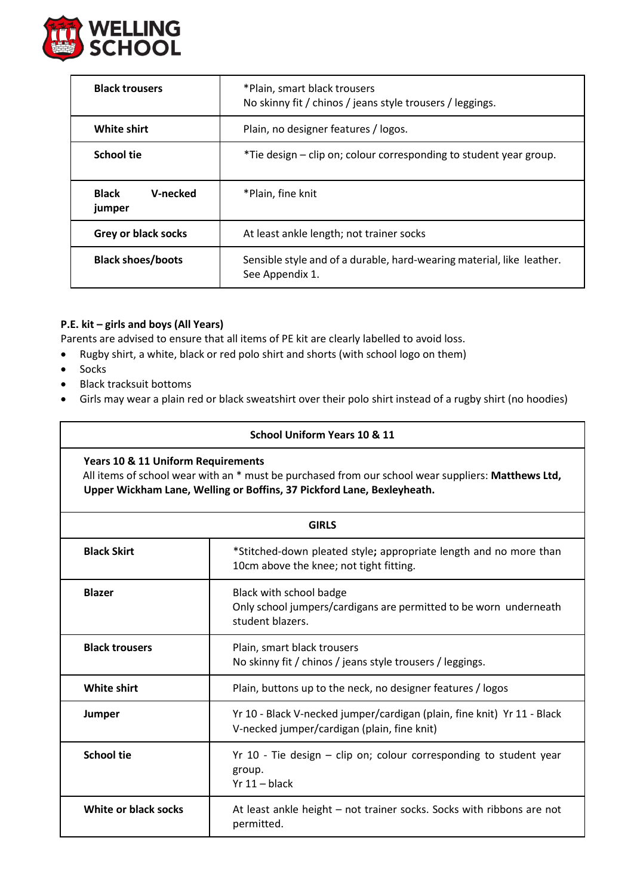

| <b>Black trousers</b>              | *Plain, smart black trousers<br>No skinny fit / chinos / jeans style trousers / leggings. |  |
|------------------------------------|-------------------------------------------------------------------------------------------|--|
| White shirt                        | Plain, no designer features / logos.                                                      |  |
| <b>School tie</b>                  | *Tie design – clip on; colour corresponding to student year group.                        |  |
| <b>Black</b><br>V-necked<br>jumper | *Plain, fine knit                                                                         |  |
| <b>Grey or black socks</b>         | At least ankle length; not trainer socks                                                  |  |
| <b>Black shoes/boots</b>           | Sensible style and of a durable, hard-wearing material, like leather.<br>See Appendix 1.  |  |

# **P.E. kit – girls and boys (All Years)**

Parents are advised to ensure that all items of PE kit are clearly labelled to avoid loss.

- Rugby shirt, a white, black or red polo shirt and shorts (with school logo on them)
- Socks
- Black tracksuit bottoms
- Girls may wear a plain red or black sweatshirt over their polo shirt instead of a rugby shirt (no hoodies)

# **School Uniform Years 10 & 11**

**Years 10 & 11 Uniform Requirements** 

All items of school wear with an \* must be purchased from our school wear suppliers: **Matthews Ltd, Upper Wickham Lane, Welling or Boffins, 37 Pickford Lane, Bexleyheath.**

| <b>GIRLS</b>          |                                                                                                                        |  |
|-----------------------|------------------------------------------------------------------------------------------------------------------------|--|
| <b>Black Skirt</b>    | *Stitched-down pleated style; appropriate length and no more than<br>10cm above the knee; not tight fitting.           |  |
| <b>Blazer</b>         | Black with school badge<br>Only school jumpers/cardigans are permitted to be worn underneath<br>student blazers.       |  |
| <b>Black trousers</b> | Plain, smart black trousers<br>No skinny fit / chinos / jeans style trousers / leggings.                               |  |
| <b>White shirt</b>    | Plain, buttons up to the neck, no designer features / logos                                                            |  |
| Jumper                | Yr 10 - Black V-necked jumper/cardigan (plain, fine knit) Yr 11 - Black<br>V-necked jumper/cardigan (plain, fine knit) |  |
| <b>School tie</b>     | Yr 10 - Tie design - clip on; colour corresponding to student year<br>group.<br>$Yr 11 - black$                        |  |
| White or black socks  | At least ankle height - not trainer socks. Socks with ribbons are not<br>permitted.                                    |  |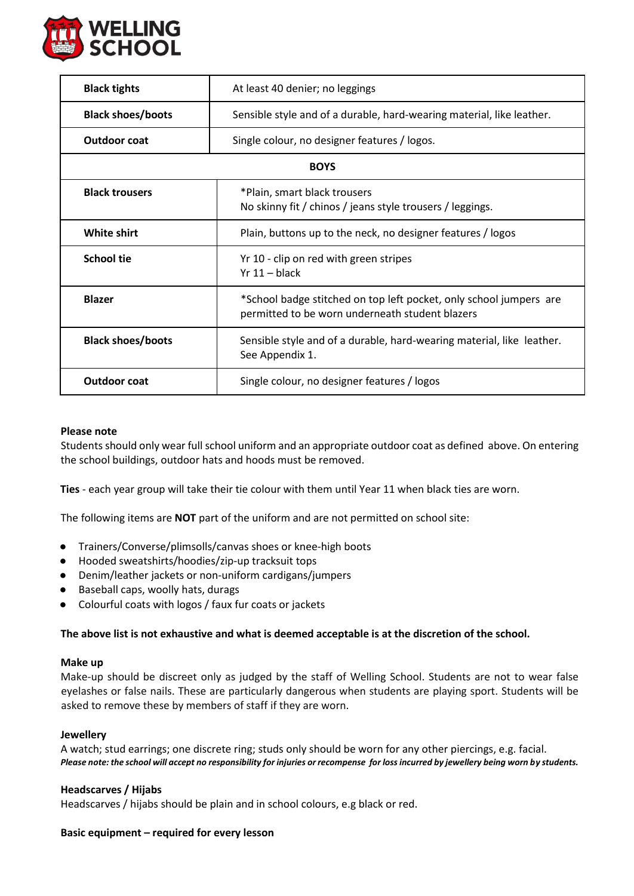

| <b>Black tights</b>      | At least 40 denier; no leggings                                                                                       |  |
|--------------------------|-----------------------------------------------------------------------------------------------------------------------|--|
| <b>Black shoes/boots</b> | Sensible style and of a durable, hard-wearing material, like leather.                                                 |  |
| <b>Outdoor coat</b>      | Single colour, no designer features / logos.                                                                          |  |
| <b>BOYS</b>              |                                                                                                                       |  |
| <b>Black trousers</b>    | *Plain, smart black trousers<br>No skinny fit / chinos / jeans style trousers / leggings.                             |  |
| <b>White shirt</b>       | Plain, buttons up to the neck, no designer features / logos                                                           |  |
| <b>School tie</b>        | Yr 10 - clip on red with green stripes<br>$Yr 11 - black$                                                             |  |
| <b>Blazer</b>            | *School badge stitched on top left pocket, only school jumpers are<br>permitted to be worn underneath student blazers |  |
| <b>Black shoes/boots</b> | Sensible style and of a durable, hard-wearing material, like leather.<br>See Appendix 1.                              |  |
| <b>Outdoor coat</b>      | Single colour, no designer features / logos                                                                           |  |

#### **Please note**

Students should only wear full school uniform and an appropriate outdoor coat as defined above. On entering the school buildings, outdoor hats and hoods must be removed.

**Ties** - each year group will take their tie colour with them until Year 11 when black ties are worn.

The following items are **NOT** part of the uniform and are not permitted on school site:

- Trainers/Converse/plimsolls/canvas shoes or knee-high boots
- Hooded sweatshirts/hoodies/zip-up tracksuit tops
- Denim/leather jackets or non-uniform cardigans/jumpers
- Baseball caps, woolly hats, durags
- Colourful coats with logos / faux fur coats or jackets

### **The above list is not exhaustive and what is deemed acceptable is at the discretion of the school.**

#### **Make up**

Make-up should be discreet only as judged by the staff of Welling School. Students are not to wear false eyelashes or false nails. These are particularly dangerous when students are playing sport. Students will be asked to remove these by members of staff if they are worn.

#### **Jewellery**

A watch; stud earrings; one discrete ring; studs only should be worn for any other piercings, e.g. facial. *Please note: the school will accept no responsibility for injuries or recompense for loss incurred by jewellery being worn by students.* 

#### **Headscarves / Hijabs**

Headscarves / hijabs should be plain and in school colours, e.g black or red.

#### **Basic equipment – required for every lesson**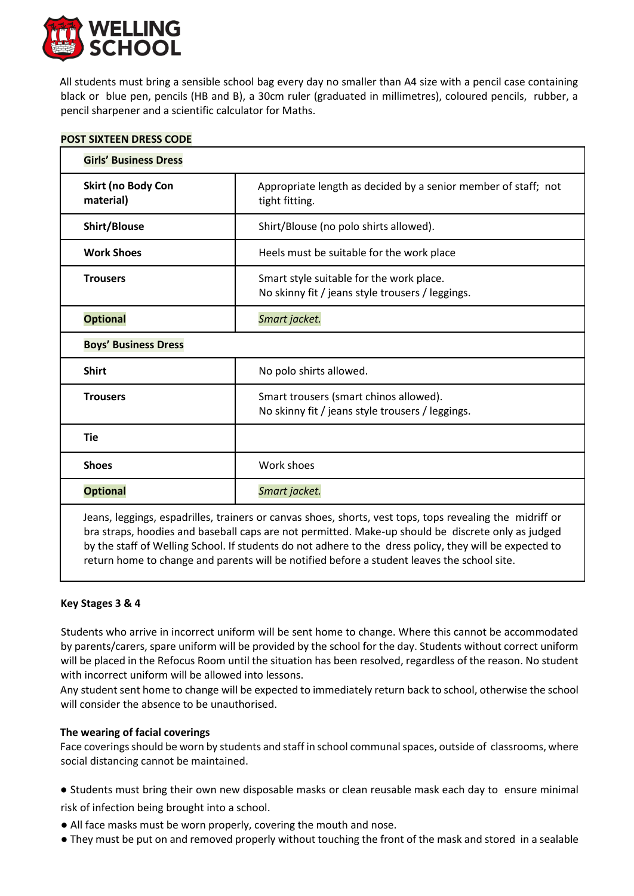

All students must bring a sensible school bag every day no smaller than A4 size with a pencil case containing black or blue pen, pencils (HB and B), a 30cm ruler (graduated in millimetres), coloured pencils, rubber, a pencil sharpener and a scientific calculator for Maths.

| POST SIXTEEN DRESS CODE |  |
|-------------------------|--|
|                         |  |

| <b>Girls' Business Dress</b>                                                                                                                                                                                                                                                                                                                                                                                                                                                                                                                                                                                                                                                   |                                                                                              |  |
|--------------------------------------------------------------------------------------------------------------------------------------------------------------------------------------------------------------------------------------------------------------------------------------------------------------------------------------------------------------------------------------------------------------------------------------------------------------------------------------------------------------------------------------------------------------------------------------------------------------------------------------------------------------------------------|----------------------------------------------------------------------------------------------|--|
| Skirt (no Body Con<br>material)                                                                                                                                                                                                                                                                                                                                                                                                                                                                                                                                                                                                                                                | Appropriate length as decided by a senior member of staff; not<br>tight fitting.             |  |
| Shirt/Blouse                                                                                                                                                                                                                                                                                                                                                                                                                                                                                                                                                                                                                                                                   | Shirt/Blouse (no polo shirts allowed).                                                       |  |
| <b>Work Shoes</b>                                                                                                                                                                                                                                                                                                                                                                                                                                                                                                                                                                                                                                                              | Heels must be suitable for the work place                                                    |  |
| <b>Trousers</b>                                                                                                                                                                                                                                                                                                                                                                                                                                                                                                                                                                                                                                                                | Smart style suitable for the work place.<br>No skinny fit / jeans style trousers / leggings. |  |
| <b>Optional</b>                                                                                                                                                                                                                                                                                                                                                                                                                                                                                                                                                                                                                                                                | Smart jacket.                                                                                |  |
| <b>Boys' Business Dress</b>                                                                                                                                                                                                                                                                                                                                                                                                                                                                                                                                                                                                                                                    |                                                                                              |  |
| <b>Shirt</b>                                                                                                                                                                                                                                                                                                                                                                                                                                                                                                                                                                                                                                                                   | No polo shirts allowed.                                                                      |  |
| <b>Trousers</b>                                                                                                                                                                                                                                                                                                                                                                                                                                                                                                                                                                                                                                                                | Smart trousers (smart chinos allowed).<br>No skinny fit / jeans style trousers / leggings.   |  |
| <b>Tie</b>                                                                                                                                                                                                                                                                                                                                                                                                                                                                                                                                                                                                                                                                     |                                                                                              |  |
| <b>Shoes</b>                                                                                                                                                                                                                                                                                                                                                                                                                                                                                                                                                                                                                                                                   | Work shoes                                                                                   |  |
| <b>Optional</b>                                                                                                                                                                                                                                                                                                                                                                                                                                                                                                                                                                                                                                                                | Smart jacket.                                                                                |  |
| Jeans, leggings, espadrilles, trainers or canvas shoes, shorts, vest tops, tops revealing the midriff or<br>bra straps, hoodies and baseball caps are not permitted. Make-up should be discrete only as judged<br>$\mathcal{L} = \mathcal{L} = \mathcal{L} = \mathcal{L} = \mathcal{L} = \mathcal{L} = \mathcal{L} = \mathcal{L} = \mathcal{L} = \mathcal{L} = \mathcal{L} = \mathcal{L} = \mathcal{L} = \mathcal{L} = \mathcal{L} = \mathcal{L} = \mathcal{L} = \mathcal{L} = \mathcal{L} = \mathcal{L} = \mathcal{L} = \mathcal{L} = \mathcal{L} = \mathcal{L} = \mathcal{L} = \mathcal{L} = \mathcal{L} = \mathcal{L} = \mathcal{L} = \mathcal{L} = \mathcal{L} = \mathcal$ |                                                                                              |  |

by the staff of Welling School. If students do not adhere to the dress policy, they will be expected to return home to change and parents will be notified before a student leaves the school site.

## **Key Stages 3 & 4**

Students who arrive in incorrect uniform will be sent home to change. Where this cannot be accommodated by parents/carers, spare uniform will be provided by the school for the day. Students without correct uniform will be placed in the Refocus Room until the situation has been resolved, regardless of the reason. No student with incorrect uniform will be allowed into lessons.

Any student sent home to change will be expected to immediately return back to school, otherwise the school will consider the absence to be unauthorised.

## **The wearing of facial coverings**

Face coverings should be worn by students and staff in school communal spaces, outside of classrooms, where social distancing cannot be maintained.

● Students must bring their own new disposable masks or clean reusable mask each day to ensure minimal risk of infection being brought into a school.

- All face masks must be worn properly, covering the mouth and nose.
- They must be put on and removed properly without touching the front of the mask and stored in a sealable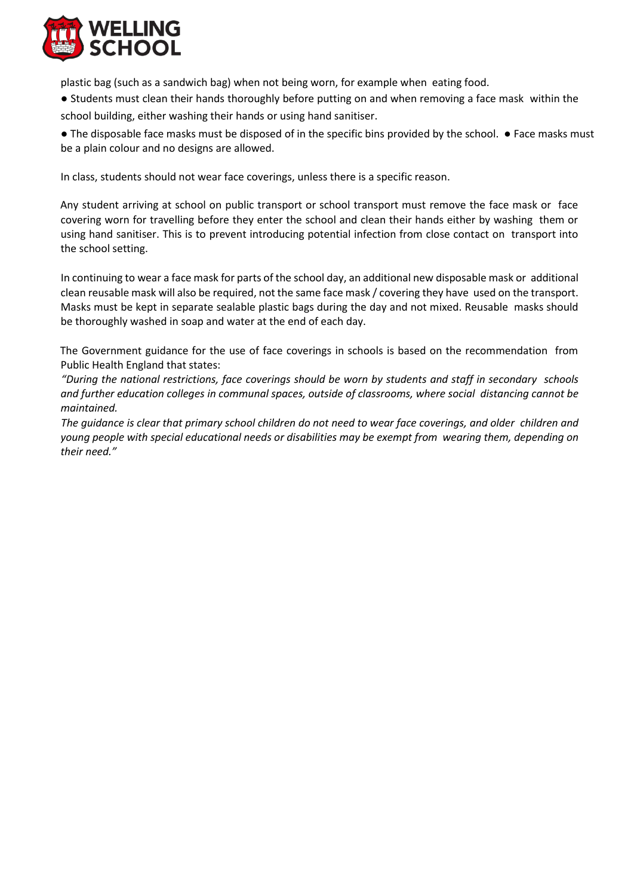

plastic bag (such as a sandwich bag) when not being worn, for example when eating food.

● Students must clean their hands thoroughly before putting on and when removing a face mask within the school building, either washing their hands or using hand sanitiser.

● The disposable face masks must be disposed of in the specific bins provided by the school. ● Face masks must be a plain colour and no designs are allowed.

In class, students should not wear face coverings, unless there is a specific reason.

Any student arriving at school on public transport or school transport must remove the face mask or face covering worn for travelling before they enter the school and clean their hands either by washing them or using hand sanitiser. This is to prevent introducing potential infection from close contact on transport into the school setting.

In continuing to wear a face mask for parts of the school day, an additional new disposable mask or additional clean reusable mask will also be required, not the same face mask / covering they have used on the transport. Masks must be kept in separate sealable plastic bags during the day and not mixed. Reusable masks should be thoroughly washed in soap and water at the end of each day.

The Government guidance for the use of face coverings in schools is based on the recommendation from Public Health England that states:

*"During the national restrictions, face coverings should be worn by students and staff in secondary schools and further education colleges in communal spaces, outside of classrooms, where social distancing cannot be maintained.*

*The guidance is clear that primary school children do not need to wear face coverings, and older children and young people with special educational needs or disabilities may be exempt from wearing them, depending on their need."*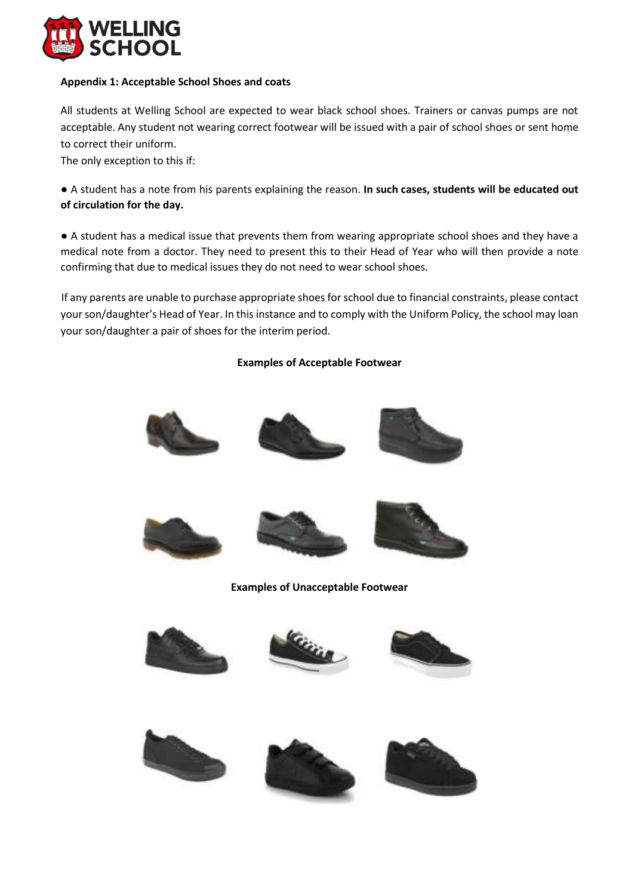

## **Appendix 1: Acceptable School Shoes and coats**

All students at Welling School are expected to wear black school shoes. Trainers or canvas pumps are not acceptable. Any student not wearing correct footwear will be issued with a pair of school shoes or sent home to correct their uniform.

The only exception to this if:

● A student has a note from his parents explaining the reason. **In such cases, students will be educated out of circulation for the day.**

● A student has a medical issue that prevents them from wearing appropriate school shoes and they have a medical note from a doctor. They need to present this to their Head of Year who will then provide a note confirming that due to medical issues they do not need to wear school shoes.

If any parents are unable to purchase appropriate shoes for school due to financial constraints, please contact your son/daughter's Head of Year. In this instance and to comply with the Uniform Policy, the school may loan your son/daughter a pair of shoes for the interim period.

## **Examples of Acceptable Footwear**